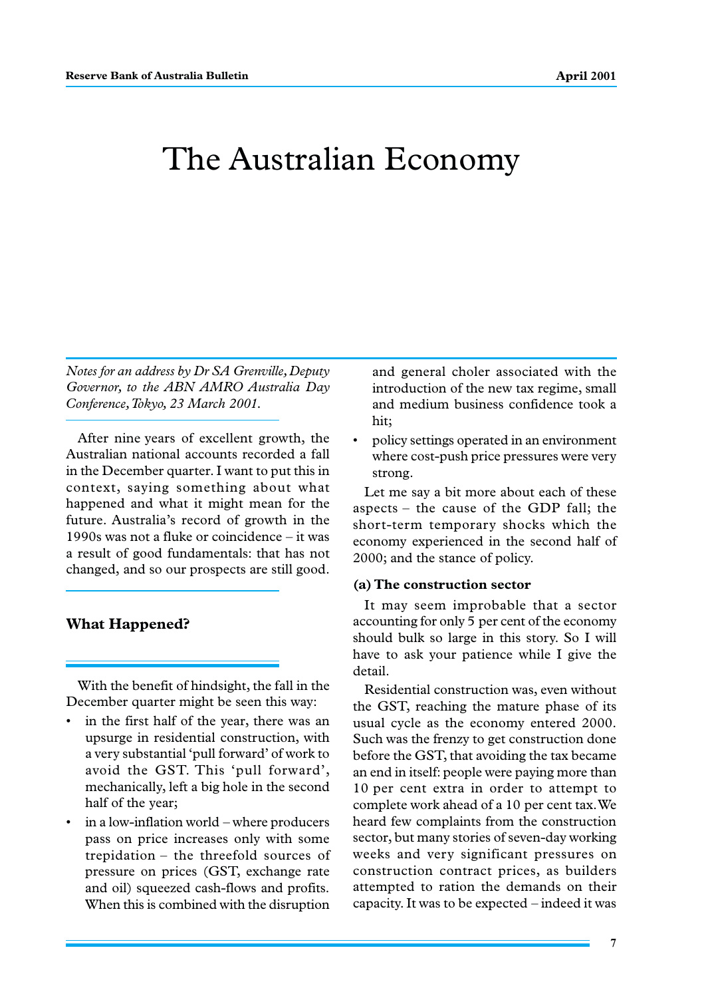# The Australian Economy

*Notes for an address by Dr SA Grenville, Deputy Governor, to the ABN AMRO Australia Day Conference, Tokyo, 23 March 2001.*

After nine years of excellent growth, the Australian national accounts recorded a fall in the December quarter. I want to put this in context, saying something about what happened and what it might mean for the future. Australia's record of growth in the 1990s was not a fluke or coincidence – it was a result of good fundamentals: that has not changed, and so our prospects are still good.

# **What Happened?**

With the benefit of hindsight, the fall in the December quarter might be seen this way:

- in the first half of the year, there was an upsurge in residential construction, with a very substantial 'pull forward' of work to avoid the GST. This 'pull forward', mechanically, left a big hole in the second half of the year;
- in a low-inflation world where producers pass on price increases only with some trepidation – the threefold sources of pressure on prices (GST, exchange rate and oil) squeezed cash-flows and profits. When this is combined with the disruption

and general choler associated with the introduction of the new tax regime, small and medium business confidence took a hit;

• policy settings operated in an environment where cost-push price pressures were very strong.

Let me say a bit more about each of these aspects – the cause of the GDP fall; the short-term temporary shocks which the economy experienced in the second half of 2000; and the stance of policy.

#### **(a) The construction sector**

It may seem improbable that a sector accounting for only 5 per cent of the economy should bulk so large in this story. So I will have to ask your patience while I give the detail.

Residential construction was, even without the GST, reaching the mature phase of its usual cycle as the economy entered 2000. Such was the frenzy to get construction done before the GST, that avoiding the tax became an end in itself: people were paying more than 10 per cent extra in order to attempt to complete work ahead of a 10 per cent tax. We heard few complaints from the construction sector, but many stories of seven-day working weeks and very significant pressures on construction contract prices, as builders attempted to ration the demands on their capacity. It was to be expected – indeed it was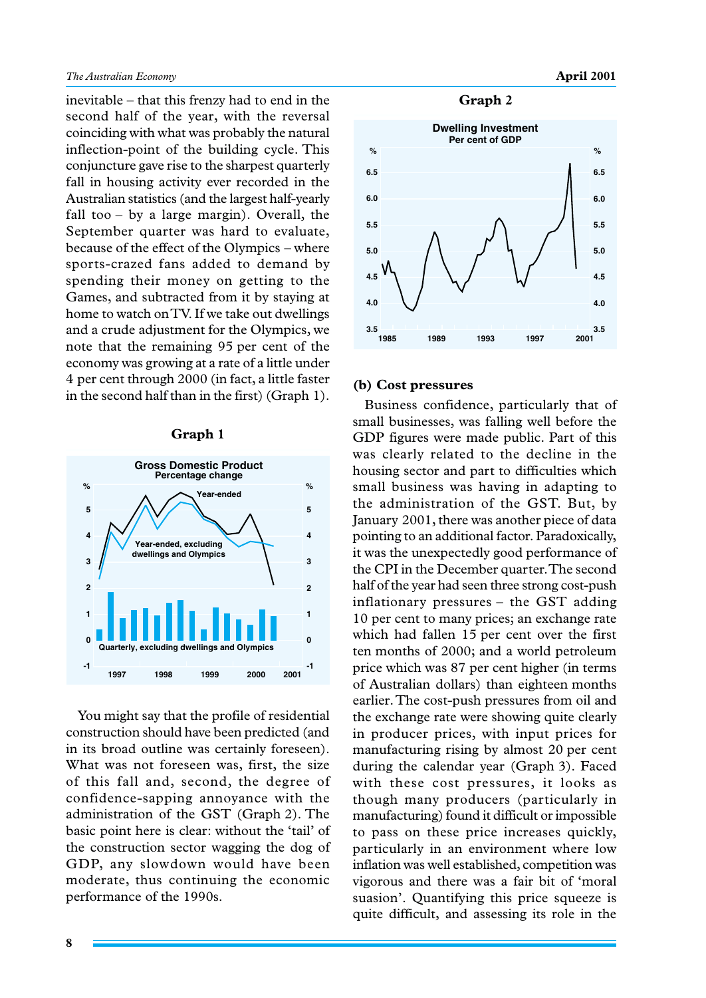inevitable – that this frenzy had to end in the second half of the year, with the reversal coinciding with what was probably the natural inflection-point of the building cycle. This conjuncture gave rise to the sharpest quarterly fall in housing activity ever recorded in the Australian statistics (and the largest half-yearly fall too – by a large margin). Overall, the September quarter was hard to evaluate, because of the effect of the Olympics – where sports-crazed fans added to demand by spending their money on getting to the Games, and subtracted from it by staying at home to watch on TV. If we take out dwellings and a crude adjustment for the Olympics, we note that the remaining 95 per cent of the economy was growing at a rate of a little under 4 per cent through 2000 (in fact, a little faster  $\frac{4 \text{ per cent through 2000 (in fact, a little faster}}{6}$  (b) Cost pressures in the second half than in the first) (Graph 1).

#### **Graph 1**



You might say that the profile of residential construction should have been predicted (and in its broad outline was certainly foreseen). What was not foreseen was, first, the size of this fall and, second, the degree of confidence-sapping annoyance with the administration of the GST (Graph 2). The basic point here is clear: without the 'tail' of the construction sector wagging the dog of GDP, any slowdown would have been moderate, thus continuing the economic performance of the 1990s.

#### **Graph 2**



Business confidence, particularly that of small businesses, was falling well before the GDP figures were made public. Part of this was clearly related to the decline in the housing sector and part to difficulties which small business was having in adapting to the administration of the GST. But, by January 2001, there was another piece of data pointing to an additional factor. Paradoxically, it was the unexpectedly good performance of the CPI in the December quarter. The second half of the year had seen three strong cost-push inflationary pressures – the GST adding 10 per cent to many prices; an exchange rate which had fallen 15 per cent over the first ten months of 2000; and a world petroleum price which was 87 per cent higher (in terms of Australian dollars) than eighteen months earlier. The cost-push pressures from oil and the exchange rate were showing quite clearly in producer prices, with input prices for manufacturing rising by almost 20 per cent during the calendar year (Graph 3). Faced with these cost pressures, it looks as though many producers (particularly in manufacturing) found it difficult or impossible to pass on these price increases quickly, particularly in an environment where low inflation was well established, competition was vigorous and there was a fair bit of 'moral suasion'. Quantifying this price squeeze is quite difficult, and assessing its role in the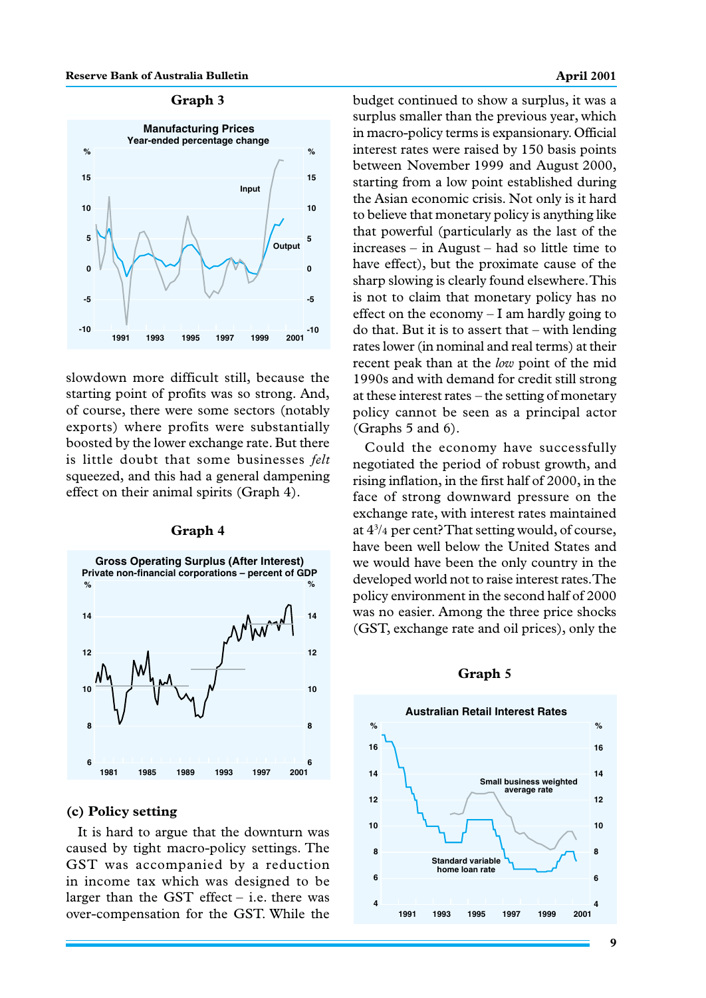#### **Reserve Bank of Australia Bulletin April 2001 April 2001**

## **Graph 3**



slowdown more difficult still, because the starting point of profits was so strong. And, of course, there were some sectors (notably exports) where profits were substantially boosted by the lower exchange rate. But there is little doubt that some businesses *felt* squeezed, and this had a general dampening effect on their animal spirits (Graph 4).



#### **Graph 4**

# **(c) Policy setting**

It is hard to argue that the downturn was caused by tight macro-policy settings. The GST was accompanied by a reduction in income tax which was designed to be larger than the GST effect  $-$  i.e. there was over-compensation for the GST. While the

budget continued to show a surplus, it was a surplus smaller than the previous year, which in macro-policy terms is expansionary. Official interest rates were raised by 150 basis points between November 1999 and August 2000, starting from a low point established during the Asian economic crisis. Not only is it hard to believe that monetary policy is anything like that powerful (particularly as the last of the increases – in August – had so little time to have effect), but the proximate cause of the sharp slowing is clearly found elsewhere. This is not to claim that monetary policy has no effect on the economy – I am hardly going to do that. But it is to assert that – with lending rates lower (in nominal and real terms) at their recent peak than at the *low* point of the mid 1990s and with demand for credit still strong at these interest rates – the setting of monetary policy cannot be seen as a principal actor (Graphs 5 and 6).

Could the economy have successfully negotiated the period of robust growth, and rising inflation, in the first half of 2000, in the face of strong downward pressure on the exchange rate, with interest rates maintained at 43 /4 per cent? That setting would, of course, have been well below the United States and we would have been the only country in the developed world not to raise interest rates. The policy environment in the second half of 2000 was no easier. Among the three price shocks (GST, exchange rate and oil prices), only the

#### **Graph 5**

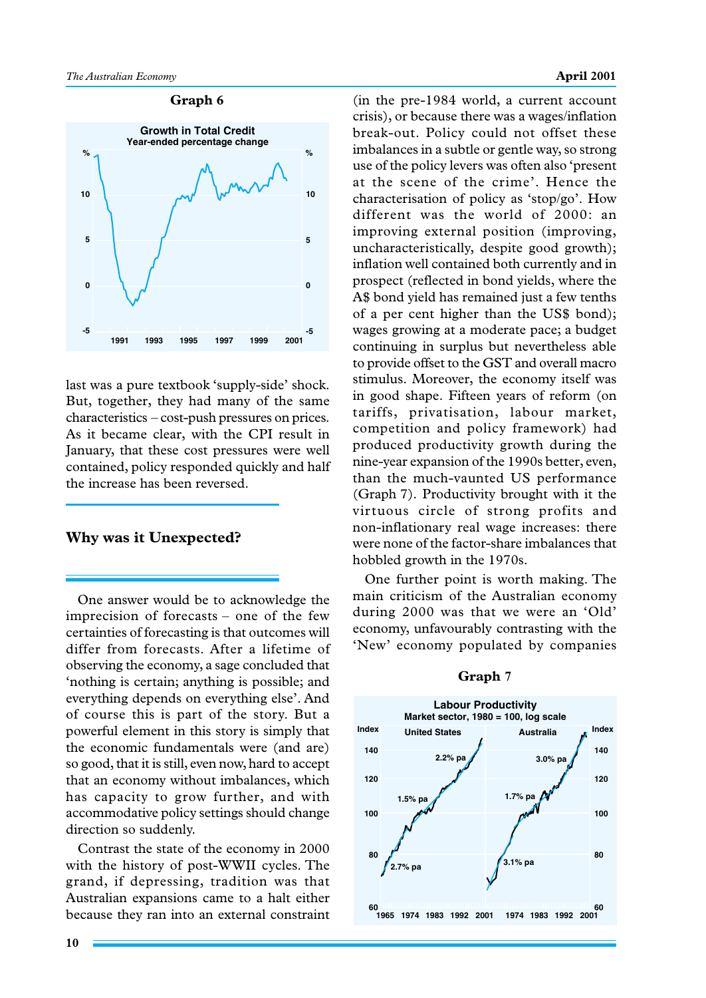#### **Graph 6**



last was a pure textbook 'supply-side' shock. But, together, they had many of the same characteristics – cost-push pressures on prices. As it became clear, with the CPI result in January, that these cost pressures were well contained, policy responded quickly and half the increase has been reversed.

### **Why was it Unexpected?**

One answer would be to acknowledge the imprecision of forecasts – one of the few certainties of forecasting is that outcomes will differ from forecasts. After a lifetime of observing the economy, a sage concluded that 'nothing is certain; anything is possible; and everything depends on everything else'. And of course this is part of the story. But a powerful element in this story is simply that the economic fundamentals were (and are) so good, that it is still, even now, hard to accept that an economy without imbalances, which has capacity to grow further, and with accommodative policy settings should change direction so suddenly.

Contrast the state of the economy in 2000 with the history of post-WWII cycles. The grand, if depressing, tradition was that Australian expansions came to a halt either because they ran into an external constraint

crisis), or because there was a wages/inflation break-out. Policy could not offset these imbalances in a subtle or gentle way, so strong use of the policy levers was often also 'present at the scene of the crime'. Hence the characterisation of policy as 'stop/go'. How different was the world of 2000: an improving external position (improving, uncharacteristically, despite good growth); inflation well contained both currently and in prospect (reflected in bond yields, where the A\$ bond yield has remained just a few tenths of a per cent higher than the US\$ bond); wages growing at a moderate pace; a budget continuing in surplus but nevertheless able to provide offset to the GST and overall macro stimulus. Moreover, the economy itself was in good shape. Fifteen years of reform (on tariffs, privatisation, labour market, competition and policy framework) had produced productivity growth during the nine-year expansion of the 1990s better, even, than the much-vaunted US performance (Graph 7). Productivity brought with it the virtuous circle of strong profits and non-inflationary real wage increases: there were none of the factor-share imbalances that hobbled growth in the 1970s.

(in the pre-1984 world, a current account

One further point is worth making. The main criticism of the Australian economy during 2000 was that we were an 'Old' economy, unfavourably contrasting with the 'New' economy populated by companies



#### **Graph 7**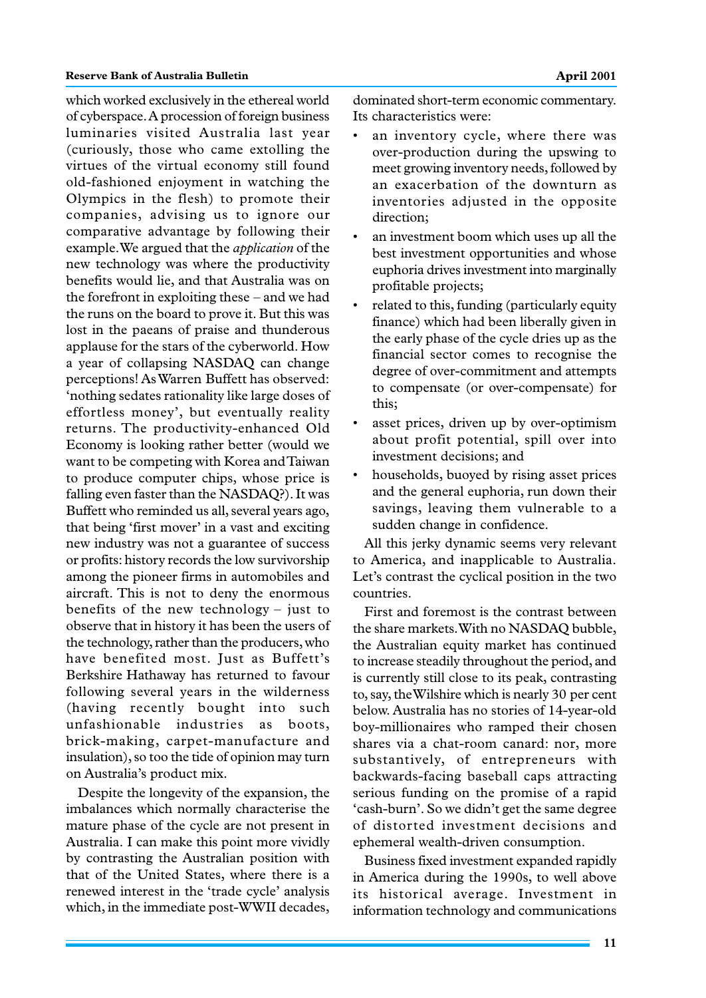which worked exclusively in the ethereal world of cyberspace. A procession of foreign business luminaries visited Australia last year (curiously, those who came extolling the virtues of the virtual economy still found old-fashioned enjoyment in watching the Olympics in the flesh) to promote their companies, advising us to ignore our comparative advantage by following their example. We argued that the *application* of the new technology was where the productivity benefits would lie, and that Australia was on the forefront in exploiting these – and we had the runs on the board to prove it. But this was lost in the paeans of praise and thunderous applause for the stars of the cyberworld. How a year of collapsing NASDAQ can change perceptions! As Warren Buffett has observed: 'nothing sedates rationality like large doses of effortless money', but eventually reality returns. The productivity-enhanced Old Economy is looking rather better (would we want to be competing with Korea and Taiwan to produce computer chips, whose price is falling even faster than the NASDAQ?). It was Buffett who reminded us all, several years ago, that being 'first mover' in a vast and exciting new industry was not a guarantee of success or profits: history records the low survivorship among the pioneer firms in automobiles and aircraft. This is not to deny the enormous benefits of the new technology – just to observe that in history it has been the users of the technology, rather than the producers, who have benefited most. Just as Buffett's Berkshire Hathaway has returned to favour following several years in the wilderness (having recently bought into such unfashionable industries as boots, brick-making, carpet-manufacture and insulation), so too the tide of opinion may turn on Australia's product mix.

Despite the longevity of the expansion, the imbalances which normally characterise the mature phase of the cycle are not present in Australia. I can make this point more vividly by contrasting the Australian position with that of the United States, where there is a renewed interest in the 'trade cycle' analysis which, in the immediate post-WWII decades,

dominated short-term economic commentary. Its characteristics were:

- an inventory cycle, where there was over-production during the upswing to meet growing inventory needs, followed by an exacerbation of the downturn as inventories adjusted in the opposite direction;
- an investment boom which uses up all the best investment opportunities and whose euphoria drives investment into marginally profitable projects;
- related to this, funding (particularly equity finance) which had been liberally given in the early phase of the cycle dries up as the financial sector comes to recognise the degree of over-commitment and attempts to compensate (or over-compensate) for this;
- asset prices, driven up by over-optimism about profit potential, spill over into investment decisions; and
- households, buoyed by rising asset prices and the general euphoria, run down their savings, leaving them vulnerable to a sudden change in confidence.

All this jerky dynamic seems very relevant to America, and inapplicable to Australia. Let's contrast the cyclical position in the two countries.

First and foremost is the contrast between the share markets. With no NASDAQ bubble, the Australian equity market has continued to increase steadily throughout the period, and is currently still close to its peak, contrasting to, say, the Wilshire which is nearly 30 per cent below. Australia has no stories of 14-year-old boy-millionaires who ramped their chosen shares via a chat-room canard: nor, more substantively, of entrepreneurs with backwards-facing baseball caps attracting serious funding on the promise of a rapid 'cash-burn'. So we didn't get the same degree of distorted investment decisions and ephemeral wealth-driven consumption.

Business fixed investment expanded rapidly in America during the 1990s, to well above its historical average. Investment in information technology and communications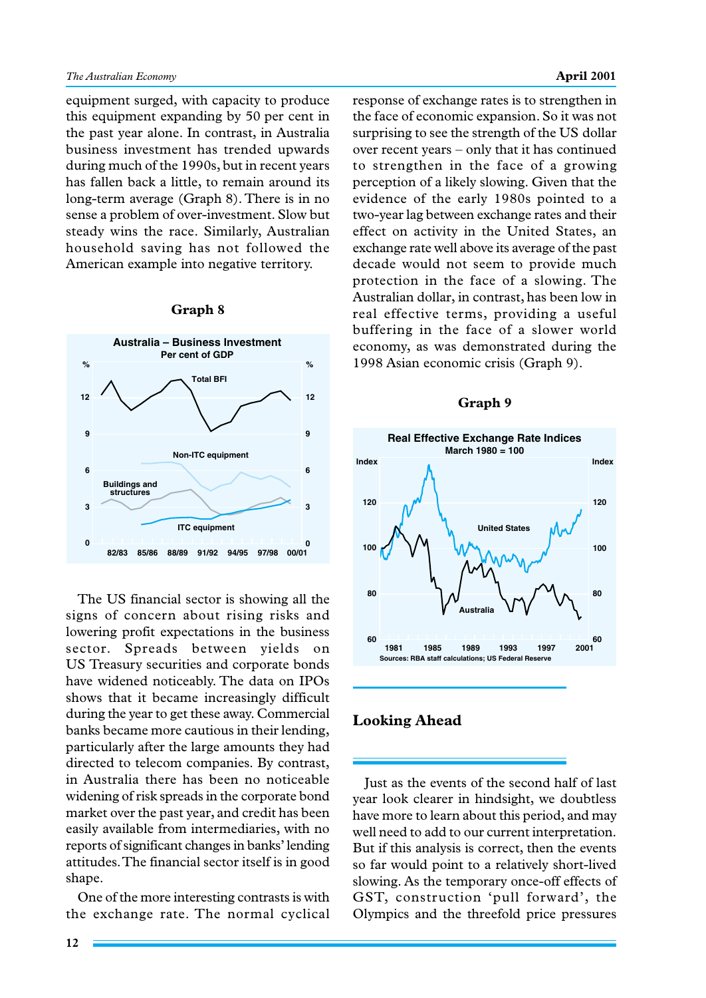equipment surged, with capacity to produce this equipment expanding by 50 per cent in the past year alone. In contrast, in Australia business investment has trended upwards during much of the 1990s, but in recent years has fallen back a little, to remain around its long-term average (Graph 8). There is in no sense a problem of over-investment. Slow but steady wins the race. Similarly, Australian household saving has not followed the American example into negative territory.

**Graph 8**

#### **0 3 6 9 12 0 3 6 9 12 Australia – Business Investment Per cent of GDP 00/01 82/83 85/86 88/89 91/92 94/95 97/98 Total BFI Non-ITC equipment Buildings and structures ITC equipment % %**

# The US financial sector is showing all the signs of concern about rising risks and lowering profit expectations in the business sector. Spreads between yields on US Treasury securities and corporate bonds have widened noticeably. The data on IPOs shows that it became increasingly difficult during the year to get these away. Commercial banks became more cautious in their lending, particularly after the large amounts they had directed to telecom companies. By contrast, in Australia there has been no noticeable widening of risk spreads in the corporate bond market over the past year, and credit has been easily available from intermediaries, with no reports of significant changes in banks' lending attitudes. The financial sector itself is in good shape.

One of the more interesting contrasts is with the exchange rate. The normal cyclical response of exchange rates is to strengthen in the face of economic expansion. So it was not surprising to see the strength of the US dollar over recent years – only that it has continued to strengthen in the face of a growing perception of a likely slowing. Given that the evidence of the early 1980s pointed to a two-year lag between exchange rates and their effect on activity in the United States, an exchange rate well above its average of the past decade would not seem to provide much protection in the face of a slowing. The Australian dollar, in contrast, has been low in real effective terms, providing a useful buffering in the face of a slower world economy, as was demonstrated during the 1998 Asian economic crisis (Graph 9).

#### **Graph 9**



# **Looking Ahead**

Just as the events of the second half of last year look clearer in hindsight, we doubtless have more to learn about this period, and may well need to add to our current interpretation. But if this analysis is correct, then the events so far would point to a relatively short-lived slowing. As the temporary once-off effects of GST, construction 'pull forward', the Olympics and the threefold price pressures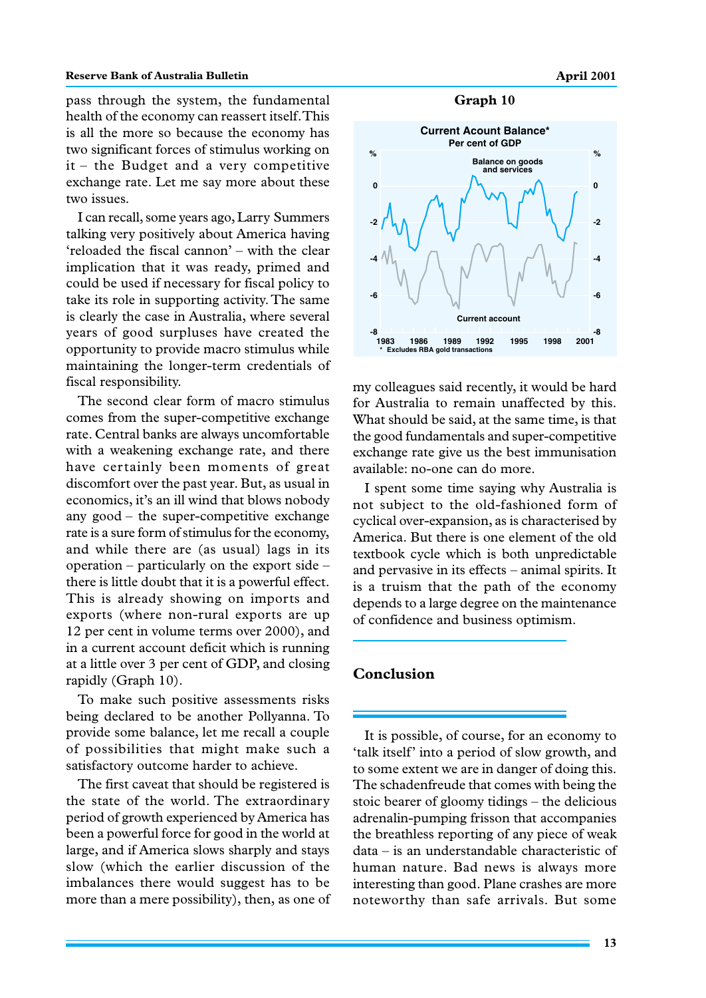### **Reserve Bank of Australia Bulletin April 2001 April 2001**

pass through the system, the fundamental health of the economy can reassert itself. This is all the more so because the economy has two significant forces of stimulus working on it – the Budget and a very competitive exchange rate. Let me say more about these two issues.

I can recall, some years ago, Larry Summers talking very positively about America having 'reloaded the fiscal cannon' – with the clear implication that it was ready, primed and could be used if necessary for fiscal policy to take its role in supporting activity. The same is clearly the case in Australia, where several years of good surpluses have created the opportunity to provide macro stimulus while maintaining the longer-term credentials of fiscal responsibility.

The second clear form of macro stimulus comes from the super-competitive exchange rate. Central banks are always uncomfortable with a weakening exchange rate, and there have certainly been moments of great discomfort over the past year. But, as usual in economics, it's an ill wind that blows nobody any good – the super-competitive exchange rate is a sure form of stimulus for the economy, and while there are (as usual) lags in its operation – particularly on the export side – there is little doubt that it is a powerful effect. This is already showing on imports and exports (where non-rural exports are up 12 per cent in volume terms over 2000), and in a current account deficit which is running at a little over 3 per cent of GDP, and closing rapidly (Graph 10).

To make such positive assessments risks being declared to be another Pollyanna. To provide some balance, let me recall a couple of possibilities that might make such a satisfactory outcome harder to achieve.

The first caveat that should be registered is the state of the world. The extraordinary period of growth experienced by America has been a powerful force for good in the world at large, and if America slows sharply and stays slow (which the earlier discussion of the imbalances there would suggest has to be more than a mere possibility), then, as one of





my colleagues said recently, it would be hard for Australia to remain unaffected by this. What should be said, at the same time, is that the good fundamentals and super-competitive exchange rate give us the best immunisation available: no-one can do more.

I spent some time saying why Australia is not subject to the old-fashioned form of cyclical over-expansion, as is characterised by America. But there is one element of the old textbook cycle which is both unpredictable and pervasive in its effects – animal spirits. It is a truism that the path of the economy depends to a large degree on the maintenance of confidence and business optimism.

# **Conclusion**

It is possible, of course, for an economy to 'talk itself' into a period of slow growth, and to some extent we are in danger of doing this. The schadenfreude that comes with being the stoic bearer of gloomy tidings – the delicious adrenalin-pumping frisson that accompanies the breathless reporting of any piece of weak data – is an understandable characteristic of human nature. Bad news is always more interesting than good. Plane crashes are more noteworthy than safe arrivals. But some